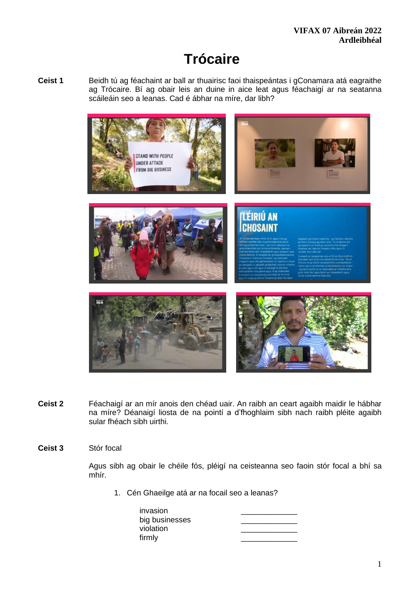# **Trócaire**

**Ceist 1** Beidh tú ag féachaint ar ball ar thuairisc faoi thaispeántas i gConamara atá eagraithe ag Trócaire. Bí ag obair leis an duine in aice leat agus féachaigí ar na seatanna scáileáin seo a leanas. Cad é ábhar na míre, dar libh?



- **Ceist 2** Féachaigí ar an mír anois den chéad uair. An raibh an ceart agaibh maidir le hábhar na míre? Déanaigí liosta de na pointí a d'fhoghlaim sibh nach raibh pléite agaibh sular fhéach sibh uirthi.
- **Ceist 3** Stór focal

Agus sibh ag obair le chéile fós, pléigí na ceisteanna seo faoin stór focal a bhí sa mhír.

1. Cén Ghaeilge atá ar na focail seo a leanas?

| invasion       |  |
|----------------|--|
| big businesses |  |
| violation      |  |
| firmly         |  |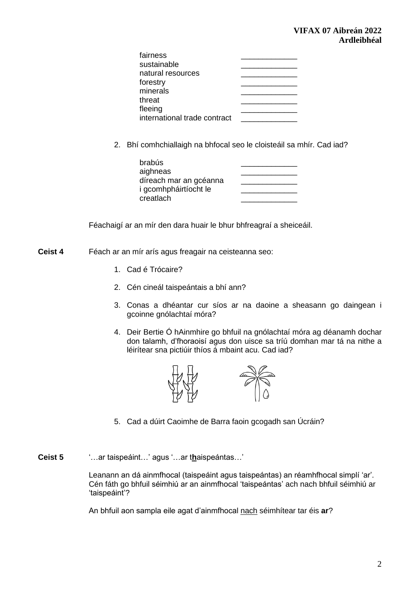| fairness                     |  |
|------------------------------|--|
| sustainable                  |  |
| natural resources            |  |
| forestry                     |  |
| minerals                     |  |
| threat                       |  |
| fleeing                      |  |
| international trade contract |  |

2. Bhí comhchiallaigh na bhfocal seo le cloisteáil sa mhír. Cad iad?

| brabús                 |  |
|------------------------|--|
| aighneas               |  |
| díreach mar an gcéanna |  |
| i gcomhpháirtíocht le  |  |
| creatlach              |  |

Féachaigí ar an mír den dara huair le bhur bhfreagraí a sheiceáil.

- **Ceist 4** Féach ar an mír arís agus freagair na ceisteanna seo:
	- 1. Cad é Trócaire?
	- 2. Cén cineál taispeántais a bhí ann?
	- 3. Conas a dhéantar cur síos ar na daoine a sheasann go daingean i gcoinne gnólachtaí móra?
	- 4. Deir Bertie Ó hAinmhire go bhfuil na gnólachtaí móra ag déanamh dochar don talamh, d'fhoraoisí agus don uisce sa tríú domhan mar tá na nithe a léirítear sna pictiúir thíos á mbaint acu. Cad iad?



- 5. Cad a dúirt Caoimhe de Barra faoin gcogadh san Úcráin?
- **Ceist 5** '…ar taispeáint…' agus '…ar t**h**aispeántas…'

Leanann an dá ainmfhocal (taispeáint agus taispeántas) an réamhfhocal simplí 'ar'. Cén fáth go bhfuil séimhiú ar an ainmfhocal 'taispeántas' ach nach bhfuil séimhiú ar 'taispeáint'?

An bhfuil aon sampla eile agat d'ainmfhocal nach séimhítear tar éis **ar**?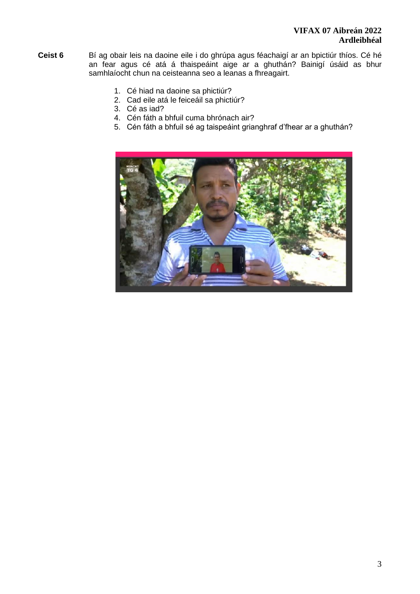## **VIFAX 07 Aibreán 2022 Ardleibhéal**

- **Ceist 6** Bí ag obair leis na daoine eile i do ghrúpa agus féachaigí ar an bpictiúr thíos. Cé hé an fear agus cé atá á thaispeáint aige ar a ghuthán? Bainigí úsáid as bhur samhlaíocht chun na ceisteanna seo a leanas a fhreagairt.
	- 1. Cé hiad na daoine sa phictiúr?
	- 2. Cad eile atá le feiceáil sa phictiúr?
	- 3. Cé as iad?
	- 4. Cén fáth a bhfuil cuma bhrónach air?
	- 5. Cén fáth a bhfuil sé ag taispeáint grianghraf d'fhear ar a ghuthán?

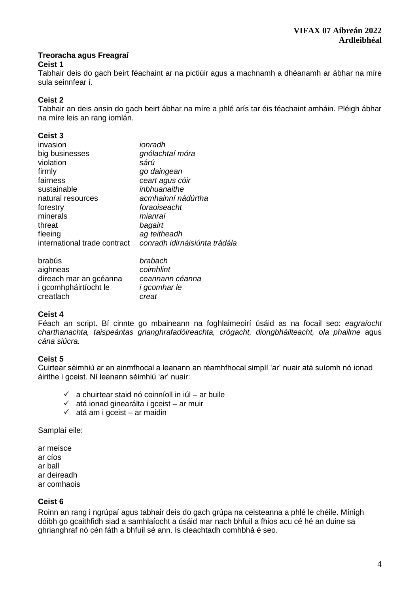#### **Treoracha agus Freagraí Ceist 1**

Tabhair deis do gach beirt féachaint ar na pictiúir agus a machnamh a dhéanamh ar ábhar na míre sula seinnfear í.

## **Ceist 2**

Tabhair an deis ansin do gach beirt ábhar na míre a phlé arís tar éis féachaint amháin. Pléigh ábhar na míre leis an rang iomlán.

## **Ceist 3**

| invasion                     | ionradh                       |
|------------------------------|-------------------------------|
| big businesses               | gnólachtaí móra               |
| violation                    | sárú                          |
| firmly                       | go daingean                   |
| fairness                     | ceart agus cóir               |
| sustainable                  | inbhuanaithe                  |
| natural resources            | acmhainní nádúrtha            |
| forestry                     | foraoiseacht                  |
| minerals                     | mianraí                       |
| threat                       | bagairt                       |
| fleeing                      | ag teitheadh                  |
| international trade contract | conradh idirnáisiúnta trádála |
| brabús                       | brabach                       |
| aighneas                     | coimhlint                     |
| díreach mar an gcéanna       | ceannann céanna               |

i gcomhpháirtíocht le *i gcomhar le* creatlach *creat*

## **Ceist 4**

Féach an script. Bí cinnte go mbaineann na foghlaimeoirí úsáid as na focail seo: *eagraíocht charthanachta, taispeántas grianghrafadóireachta, crógacht, diongbháilteacht, ola phailme* agus *cána siúcra.*

## **Ceist 5**

Cuirtear séimhiú ar an ainmfhocal a leanann an réamhfhocal simplí 'ar' nuair atá suíomh nó ionad áirithe i gceist. Ní leanann séimhiú 'ar' nuair:

- $\checkmark$  a chuirtear staid nó coinníoll in iúl ar buile
- ✓ atá ionad ginearálta i gceist ar muir
- $\checkmark$  atá am i gceist ar maidin

Samplaí eile:

ar meisce ar cíos ar ball ar deireadh ar comhaois

## **Ceist 6**

Roinn an rang i ngrúpaí agus tabhair deis do gach grúpa na ceisteanna a phlé le chéile. Mínigh dóibh go gcaithfidh siad a samhlaíocht a úsáid mar nach bhfuil a fhios acu cé hé an duine sa ghrianghraf nó cén fáth a bhfuil sé ann. Is cleachtadh comhbhá é seo.